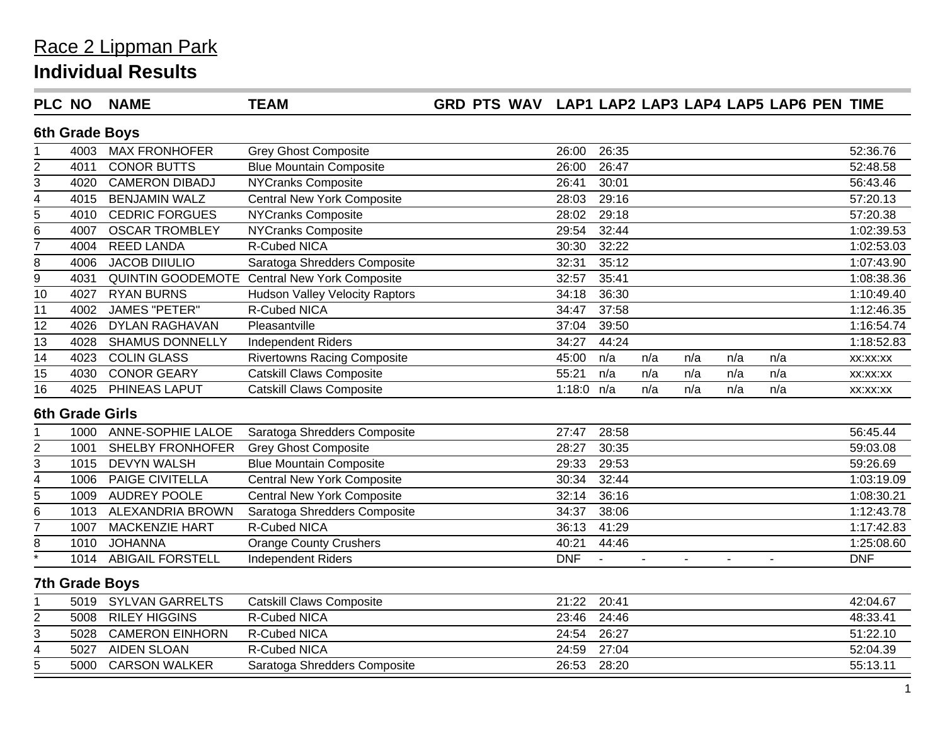| <b>PLC NO</b>           |      | <b>NAME</b>              | <b>TEAM</b>                                         | GRD PTS WAV LAP1 LAP2 LAP3 LAP4 LAP5 LAP6 PEN TIME |              |                |                |     |     |     |            |
|-------------------------|------|--------------------------|-----------------------------------------------------|----------------------------------------------------|--------------|----------------|----------------|-----|-----|-----|------------|
|                         |      | 6th Grade Boys           |                                                     |                                                    |              |                |                |     |     |     |            |
|                         | 4003 | <b>MAX FRONHOFER</b>     | <b>Grey Ghost Composite</b>                         |                                                    | 26:00        | 26:35          |                |     |     |     | 52:36.76   |
| $\overline{2}$          | 4011 | <b>CONOR BUTTS</b>       | <b>Blue Mountain Composite</b>                      |                                                    | 26:00        | 26:47          |                |     |     |     | 52:48.58   |
| 3                       | 4020 | <b>CAMERON DIBADJ</b>    | <b>NYCranks Composite</b>                           |                                                    | 26:41        | 30:01          |                |     |     |     | 56:43.46   |
| $\overline{\mathbf{4}}$ | 4015 | <b>BENJAMIN WALZ</b>     | <b>Central New York Composite</b>                   |                                                    | 28:03        | 29:16          |                |     |     |     | 57:20.13   |
| $\overline{5}$          | 4010 | <b>CEDRIC FORGUES</b>    | NYCranks Composite                                  |                                                    | 28:02        | 29:18          |                |     |     |     | 57:20.38   |
| $\,6$                   | 4007 | <b>OSCAR TROMBLEY</b>    | <b>NYCranks Composite</b>                           |                                                    | 29:54        | 32:44          |                |     |     |     | 1:02:39.53 |
| $\overline{7}$          | 4004 | <b>REED LANDA</b>        | R-Cubed NICA                                        |                                                    | 30:30        | 32:22          |                |     |     |     | 1:02:53.03 |
| 8                       | 4006 | <b>JACOB DIIULIO</b>     | Saratoga Shredders Composite                        |                                                    | 32:31        | 35:12          |                |     |     |     | 1:07:43.90 |
| $\overline{9}$          | 4031 |                          | <b>QUINTIN GOODEMOTE Central New York Composite</b> |                                                    | 32:57        | 35:41          |                |     |     |     | 1:08:38.36 |
| 10                      | 4027 | <b>RYAN BURNS</b>        | <b>Hudson Valley Velocity Raptors</b>               |                                                    | 34:18        | 36:30          |                |     |     |     | 1:10:49.40 |
| $\overline{11}$         | 4002 | <b>JAMES "PETER"</b>     | <b>R-Cubed NICA</b>                                 |                                                    | 34:47        | 37:58          |                |     |     |     | 1:12:46.35 |
| 12                      | 4026 | <b>DYLAN RAGHAVAN</b>    | Pleasantville                                       |                                                    | 37:04        | 39:50          |                |     |     |     | 1:16:54.74 |
| 13                      | 4028 | <b>SHAMUS DONNELLY</b>   | Independent Riders                                  |                                                    | 34:27        | 44:24          |                |     |     |     | 1:18:52.83 |
| 14                      | 4023 | <b>COLIN GLASS</b>       | <b>Rivertowns Racing Composite</b>                  |                                                    | 45:00        | n/a            | n/a            | n/a | n/a | n/a | XX:XX:XX   |
| 15                      | 4030 | <b>CONOR GEARY</b>       | <b>Catskill Claws Composite</b>                     |                                                    | 55:21        | n/a            | n/a            | n/a | n/a | n/a | XX:XX:XX   |
| 16                      | 4025 | PHINEAS LAPUT            | <b>Catskill Claws Composite</b>                     |                                                    | 1:18:0 $n/a$ |                | n/a            | n/a | n/a | n/a | XX:XX:XX   |
|                         |      | <b>6th Grade Girls</b>   |                                                     |                                                    |              |                |                |     |     |     |            |
|                         | 1000 | <b>ANNE-SOPHIE LALOE</b> | Saratoga Shredders Composite                        |                                                    | 27:47        | 28:58          |                |     |     |     | 56:45.44   |
| $\overline{2}$          | 1001 | SHELBY FRONHOFER         | <b>Grey Ghost Composite</b>                         |                                                    | 28:27        | 30:35          |                |     |     |     | 59:03.08   |
| 3                       | 1015 | <b>DEVYN WALSH</b>       | <b>Blue Mountain Composite</b>                      |                                                    | 29:33        | 29:53          |                |     |     |     | 59:26.69   |
| $\overline{\mathbf{4}}$ | 1006 | PAIGE CIVITELLA          | <b>Central New York Composite</b>                   |                                                    | 30:34        | 32:44          |                |     |     |     | 1:03:19.09 |
| 5                       | 1009 | <b>AUDREY POOLE</b>      | <b>Central New York Composite</b>                   |                                                    | 32:14        | 36:16          |                |     |     |     | 1:08:30.21 |
| 6                       |      | 1013 ALEXANDRIA BROWN    | Saratoga Shredders Composite                        |                                                    | 34:37        | 38:06          |                |     |     |     | 1:12:43.78 |
| $\overline{7}$          | 1007 | <b>MACKENZIE HART</b>    | R-Cubed NICA                                        |                                                    | 36:13        | 41:29          |                |     |     |     | 1:17:42.83 |
| 8                       | 1010 | <b>JOHANNA</b>           | <b>Orange County Crushers</b>                       |                                                    | 40:21        | 44:46          |                |     |     |     | 1:25:08.60 |
|                         | 1014 | <b>ABIGAIL FORSTELL</b>  | <b>Independent Riders</b>                           |                                                    | <b>DNF</b>   | $\blacksquare$ | $\blacksquare$ |     |     |     | <b>DNF</b> |
|                         |      | <b>7th Grade Boys</b>    |                                                     |                                                    |              |                |                |     |     |     |            |
|                         | 5019 | <b>SYLVAN GARRELTS</b>   | <b>Catskill Claws Composite</b>                     |                                                    | 21:22        | 20:41          |                |     |     |     | 42:04.67   |
| $\overline{2}$          | 5008 | <b>RILEY HIGGINS</b>     | R-Cubed NICA                                        |                                                    | 23:46        | 24:46          |                |     |     |     | 48:33.41   |
| 3                       | 5028 | <b>CAMERON EINHORN</b>   | R-Cubed NICA                                        |                                                    | 24:54        | 26:27          |                |     |     |     | 51:22.10   |
| $\overline{4}$          | 5027 | <b>AIDEN SLOAN</b>       | <b>R-Cubed NICA</b>                                 |                                                    | 24:59        | 27:04          |                |     |     |     | 52:04.39   |
| 5                       | 5000 | <b>CARSON WALKER</b>     | Saratoga Shredders Composite                        |                                                    | 26:53        | 28:20          |                |     |     |     | 55:13.11   |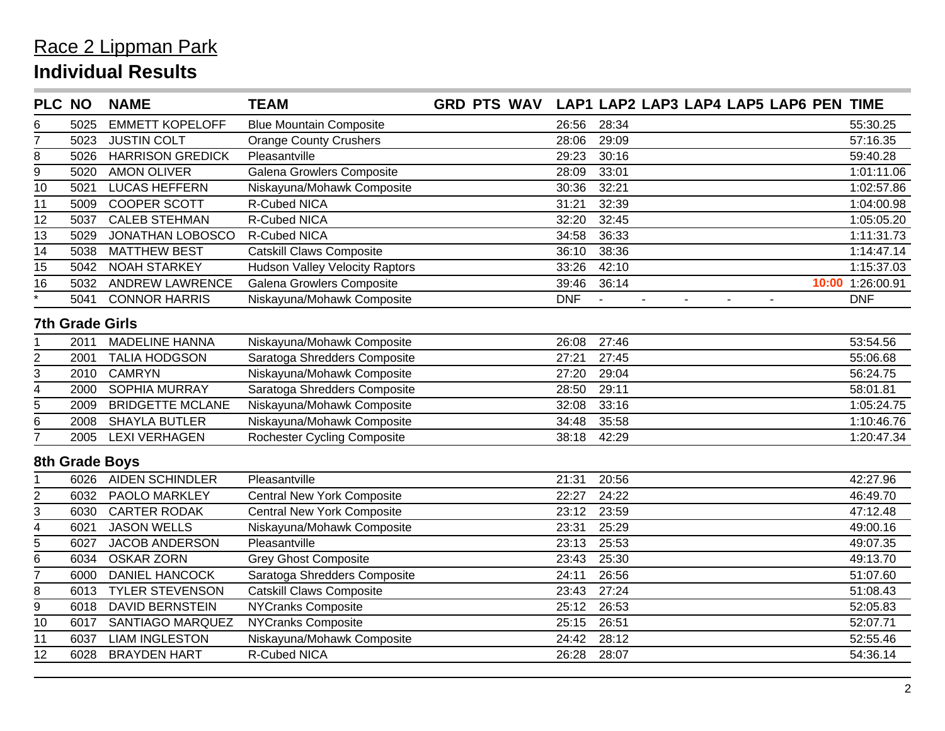| <b>PLC NO</b>     |                        | <b>NAME</b>             | <b>TEAM</b>                           |            | GRD PTS WAV LAP1 LAP2 LAP3 LAP4 LAP5 LAP6 PEN TIME                           |                  |
|-------------------|------------------------|-------------------------|---------------------------------------|------------|------------------------------------------------------------------------------|------------------|
| 6                 | 5025                   | <b>EMMETT KOPELOFF</b>  | <b>Blue Mountain Composite</b>        | 26:56      | 28:34                                                                        | 55:30.25         |
| $\overline{7}$    | 5023                   | <b>JUSTIN COLT</b>      | <b>Orange County Crushers</b>         | 28:06      | 29:09                                                                        | 57:16.35         |
| 8                 | 5026                   | <b>HARRISON GREDICK</b> | Pleasantville                         | 29:23      | 30:16                                                                        | 59:40.28         |
| 9                 | 5020                   | <b>AMON OLIVER</b>      | <b>Galena Growlers Composite</b>      | 28:09      | 33:01                                                                        | 1:01:11.06       |
| $\overline{10}$   | 5021                   | <b>LUCAS HEFFERN</b>    | Niskayuna/Mohawk Composite            | 30:36      | 32:21                                                                        | 1:02:57.86       |
| 11                | 5009                   | <b>COOPER SCOTT</b>     | R-Cubed NICA                          | 31:21      | 32:39                                                                        | 1:04:00.98       |
| 12                | 5037                   | <b>CALEB STEHMAN</b>    | R-Cubed NICA                          | 32:20      | 32:45                                                                        | 1:05:05.20       |
| 13                | 5029                   | JONATHAN LOBOSCO        | R-Cubed NICA                          | 34:58      | 36:33                                                                        | 1:11:31.73       |
| 14                | 5038                   | <b>MATTHEW BEST</b>     | <b>Catskill Claws Composite</b>       | 36:10      | 38:36                                                                        | 1:14:47.14       |
| 15                | 5042                   | <b>NOAH STARKEY</b>     | <b>Hudson Valley Velocity Raptors</b> | 33:26      | 42:10                                                                        | 1:15:37.03       |
| $\overline{16}$   | 5032                   | <b>ANDREW LAWRENCE</b>  | Galena Growlers Composite             | 39:46      | 36:14                                                                        | 10:00 1:26:00.91 |
| $\overline{\ast}$ | 5041                   | <b>CONNOR HARRIS</b>    | Niskayuna/Mohawk Composite            | <b>DNF</b> | $\mathbf{r}$<br>$\blacksquare$<br>$\overline{a}$<br>$\blacksquare$<br>$\sim$ | <b>DNF</b>       |
|                   | <b>7th Grade Girls</b> |                         |                                       |            |                                                                              |                  |
|                   | 2011                   | <b>MADELINE HANNA</b>   | Niskayuna/Mohawk Composite            | 26:08      | 27:46                                                                        | 53:54.56         |
| 2                 | 2001                   | <b>TALIA HODGSON</b>    | Saratoga Shredders Composite          | 27:21      | 27:45                                                                        | 55:06.68         |
| 3                 | 2010                   | <b>CAMRYN</b>           | Niskayuna/Mohawk Composite            | 27:20      | 29:04                                                                        | 56:24.75         |
| 4                 | 2000                   | SOPHIA MURRAY           | Saratoga Shredders Composite          | 28:50      | 29:11                                                                        | 58:01.81         |
| 5                 | 2009                   | <b>BRIDGETTE MCLANE</b> | Niskayuna/Mohawk Composite            | 32:08      | 33:16                                                                        | 1:05:24.75       |
| 6                 | 2008                   | <b>SHAYLA BUTLER</b>    | Niskayuna/Mohawk Composite            | 34:48      | 35:58                                                                        | 1:10:46.76       |
| $\overline{7}$    | 2005                   | <b>LEXI VERHAGEN</b>    | <b>Rochester Cycling Composite</b>    | 38:18      | 42:29                                                                        | 1:20:47.34       |
|                   |                        | 8th Grade Boys          |                                       |            |                                                                              |                  |
|                   | 6026                   | <b>AIDEN SCHINDLER</b>  | Pleasantville                         | 21:31      | 20:56                                                                        | 42:27.96         |
| 2                 | 6032                   | PAOLO MARKLEY           | <b>Central New York Composite</b>     | 22:27      | 24:22                                                                        | 46:49.70         |
| 3                 | 6030                   | <b>CARTER RODAK</b>     | <b>Central New York Composite</b>     | 23:12      | 23:59                                                                        | 47:12.48         |
| 4                 | 6021                   | <b>JASON WELLS</b>      | Niskayuna/Mohawk Composite            | 23:31      | 25:29                                                                        | 49:00.16         |
| 5                 | 6027                   | <b>JACOB ANDERSON</b>   | Pleasantville                         | 23:13      | 25:53                                                                        | 49:07.35         |
| 6                 | 6034                   | <b>OSKAR ZORN</b>       | <b>Grey Ghost Composite</b>           | 23:43      | 25:30                                                                        | 49:13.70         |
| $\overline{7}$    | 6000                   | DANIEL HANCOCK          | Saratoga Shredders Composite          | 24:11      | 26:56                                                                        | 51:07.60         |
| 8                 | 6013                   | <b>TYLER STEVENSON</b>  | <b>Catskill Claws Composite</b>       | 23:43      | 27:24                                                                        | 51:08.43         |
| 9                 | 6018                   | <b>DAVID BERNSTEIN</b>  | <b>NYCranks Composite</b>             | 25:12      | 26:53                                                                        | 52:05.83         |
| 10                | 6017                   | SANTIAGO MARQUEZ        | NYCranks Composite                    | 25:15      | 26:51                                                                        | 52:07.71         |
| 11                | 6037                   | <b>LIAM INGLESTON</b>   | Niskayuna/Mohawk Composite            | 24:42      | 28:12                                                                        | 52:55.46         |
| 12                | 6028                   | <b>BRAYDEN HART</b>     | R-Cubed NICA                          | 26:28      | 28:07                                                                        | 54:36.14         |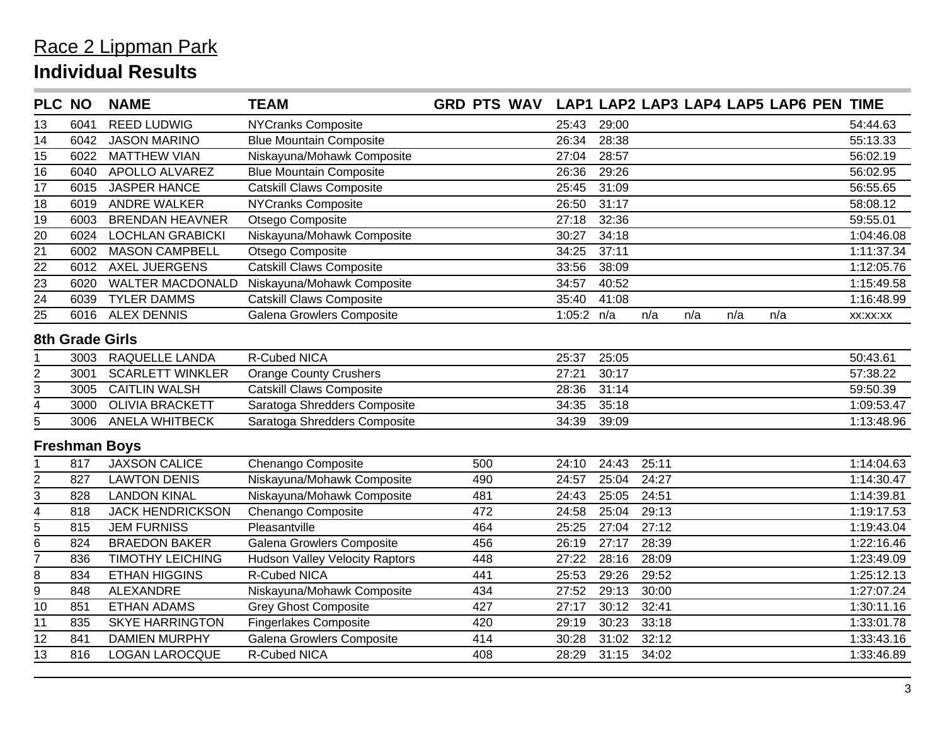|                 | <b>PLC NO</b>          | <b>NAME</b>             | <b>TEAM</b>                           | <b>GRD PTS WAV</b> |              |       |       |     |     | LAP1 LAP2 LAP3 LAP4 LAP5 LAP6 PEN TIME |            |
|-----------------|------------------------|-------------------------|---------------------------------------|--------------------|--------------|-------|-------|-----|-----|----------------------------------------|------------|
| 13              | 6041                   | <b>REED LUDWIG</b>      | NYCranks Composite                    |                    | 25:43        | 29:00 |       |     |     |                                        | 54:44.63   |
| 14              | 6042                   | <b>JASON MARINO</b>     | <b>Blue Mountain Composite</b>        |                    | 26:34        | 28:38 |       |     |     |                                        | 55:13.33   |
| 15              | 6022                   | <b>MATTHEW VIAN</b>     | Niskayuna/Mohawk Composite            |                    | 27:04        | 28:57 |       |     |     |                                        | 56:02.19   |
| $\overline{16}$ | 6040                   | APOLLO ALVAREZ          | <b>Blue Mountain Composite</b>        |                    | 26:36        | 29:26 |       |     |     |                                        | 56:02.95   |
| 17              | 6015                   | <b>JASPER HANCE</b>     | <b>Catskill Claws Composite</b>       |                    | 25:45        | 31:09 |       |     |     |                                        | 56:55.65   |
| 18              | 6019                   | <b>ANDRE WALKER</b>     | <b>NYCranks Composite</b>             |                    | 26:50        | 31:17 |       |     |     |                                        | 58:08.12   |
| 19              | 6003                   | <b>BRENDAN HEAVNER</b>  | Otsego Composite                      |                    | 27:18        | 32:36 |       |     |     |                                        | 59:55.01   |
| 20              | 6024                   | <b>LOCHLAN GRABICKI</b> | Niskayuna/Mohawk Composite            |                    | 30:27        | 34:18 |       |     |     |                                        | 1:04:46.08 |
| 21              | 6002                   | <b>MASON CAMPBELL</b>   | Otsego Composite                      |                    | 34:25        | 37:11 |       |     |     |                                        | 1:11:37.34 |
| 22              | 6012                   | <b>AXEL JUERGENS</b>    | <b>Catskill Claws Composite</b>       |                    | 33:56        | 38:09 |       |     |     |                                        | 1:12:05.76 |
| 23              | 6020                   | <b>WALTER MACDONALD</b> | Niskayuna/Mohawk Composite            |                    | 34:57        | 40:52 |       |     |     |                                        | 1:15:49.58 |
| 24              | 6039                   | <b>TYLER DAMMS</b>      | <b>Catskill Claws Composite</b>       |                    | 35:40        | 41:08 |       |     |     |                                        | 1:16:48.99 |
| 25              | 6016                   | <b>ALEX DENNIS</b>      | Galena Growlers Composite             |                    | 1:05:2 $n/a$ |       | n/a   | n/a | n/a | n/a                                    | XX:XX:XX   |
|                 | <b>8th Grade Girls</b> |                         |                                       |                    |              |       |       |     |     |                                        |            |
|                 | 3003                   | RAQUELLE LANDA          | R-Cubed NICA                          |                    | 25:37        | 25:05 |       |     |     |                                        | 50:43.61   |
| 2               | 3001                   | <b>SCARLETT WINKLER</b> | <b>Orange County Crushers</b>         |                    | 27:21        | 30:17 |       |     |     |                                        | 57:38.22   |
| 3               | 3005                   | <b>CAITLIN WALSH</b>    | <b>Catskill Claws Composite</b>       |                    | 28:36        | 31:14 |       |     |     |                                        | 59:50.39   |
| 4               | 3000                   | <b>OLIVIA BRACKETT</b>  | Saratoga Shredders Composite          |                    | 34:35        | 35:18 |       |     |     |                                        | 1:09:53.47 |
| 5               | 3006                   | <b>ANELA WHITBECK</b>   | Saratoga Shredders Composite          |                    | 34:39        | 39:09 |       |     |     |                                        | 1:13:48.96 |
|                 |                        | <b>Freshman Boys</b>    |                                       |                    |              |       |       |     |     |                                        |            |
|                 | 817                    | <b>JAXSON CALICE</b>    | Chenango Composite                    | 500                | 24:10        | 24:43 | 25:11 |     |     |                                        | 1:14:04.63 |
| 2               | 827                    | <b>LAWTON DENIS</b>     | Niskayuna/Mohawk Composite            | 490                | 24:57        | 25:04 | 24:27 |     |     |                                        | 1:14:30.47 |
| 3               | 828                    | <b>LANDON KINAL</b>     | Niskayuna/Mohawk Composite            | 481                | 24:43        | 25:05 | 24:51 |     |     |                                        | 1:14:39.81 |
| 4               | 818                    | <b>JACK HENDRICKSON</b> | Chenango Composite                    | 472                | 24:58        | 25:04 | 29:13 |     |     |                                        | 1:19:17.53 |
| $\overline{5}$  | 815                    | <b>JEM FURNISS</b>      | Pleasantville                         | 464                | 25:25        | 27:04 | 27:12 |     |     |                                        | 1:19:43.04 |
| 6               | 824                    | <b>BRAEDON BAKER</b>    | Galena Growlers Composite             | 456                | 26:19        | 27:17 | 28:39 |     |     |                                        | 1:22:16.46 |
| $\overline{7}$  | 836                    | <b>TIMOTHY LEICHING</b> | <b>Hudson Valley Velocity Raptors</b> | 448                | 27:22        | 28:16 | 28:09 |     |     |                                        | 1:23:49.09 |
| 8               | 834                    | <b>ETHAN HIGGINS</b>    | R-Cubed NICA                          | 441                | 25:53        | 29:26 | 29:52 |     |     |                                        | 1:25:12.13 |
| $\overline{9}$  | 848                    | <b>ALEXANDRE</b>        | Niskayuna/Mohawk Composite            | 434                | 27:52        | 29:13 | 30:00 |     |     |                                        | 1:27:07.24 |
| 10              | 851                    | <b>ETHAN ADAMS</b>      | <b>Grey Ghost Composite</b>           | 427                | 27:17        | 30:12 | 32:41 |     |     |                                        | 1:30:11.16 |
| 11              | 835                    | <b>SKYE HARRINGTON</b>  | <b>Fingerlakes Composite</b>          | 420                | 29:19        | 30:23 | 33:18 |     |     |                                        | 1:33:01.78 |
| 12              | 841                    | <b>DAMIEN MURPHY</b>    | Galena Growlers Composite             | 414                | 30:28        | 31:02 | 32:12 |     |     |                                        | 1:33:43.16 |
| 13              | 816                    | <b>LOGAN LAROCQUE</b>   | R-Cubed NICA                          | 408                | 28:29        | 31:15 | 34:02 |     |     |                                        | 1:33:46.89 |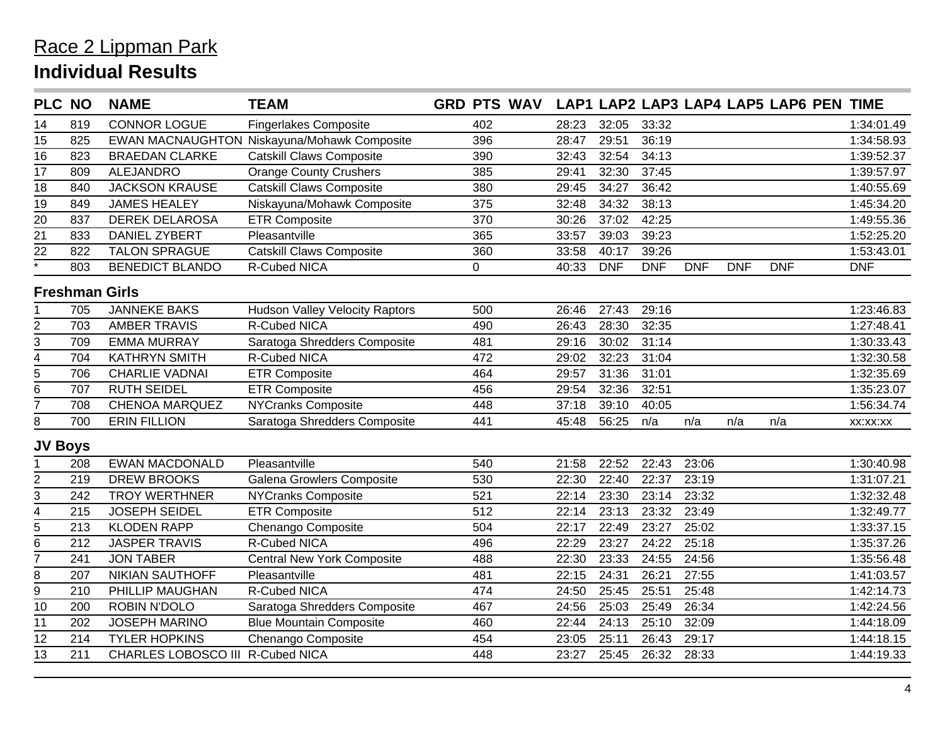| <b>PLC NO</b>           |     | <b>NAME</b>                      | <b>TEAM</b>                                 | GRD PTS WAV LAP1 LAP2 LAP3 LAP4 LAP5 LAP6 PEN TIME |       |            |            |            |            |            |            |
|-------------------------|-----|----------------------------------|---------------------------------------------|----------------------------------------------------|-------|------------|------------|------------|------------|------------|------------|
| 14                      | 819 | <b>CONNOR LOGUE</b>              | <b>Fingerlakes Composite</b>                | 402                                                | 28:23 | 32:05      | 33:32      |            |            |            | 1:34:01.49 |
| 15                      | 825 |                                  | EWAN MACNAUGHTON Niskayuna/Mohawk Composite | 396                                                | 28:47 | 29:51      | 36:19      |            |            |            | 1:34:58.93 |
| 16                      | 823 | <b>BRAEDAN CLARKE</b>            | <b>Catskill Claws Composite</b>             | 390                                                | 32:43 | 32:54      | 34:13      |            |            |            | 1:39:52.37 |
| 17                      | 809 | <b>ALEJANDRO</b>                 | <b>Orange County Crushers</b>               | 385                                                | 29:41 | 32:30      | 37:45      |            |            |            | 1:39:57.97 |
| $\overline{18}$         | 840 | <b>JACKSON KRAUSE</b>            | <b>Catskill Claws Composite</b>             | 380                                                | 29:45 | 34:27      | 36:42      |            |            |            | 1:40:55.69 |
| 19                      | 849 | <b>JAMES HEALEY</b>              | Niskayuna/Mohawk Composite                  | 375                                                | 32:48 | 34:32      | 38:13      |            |            |            | 1:45:34.20 |
| $\overline{20}$         | 837 | <b>DEREK DELAROSA</b>            | <b>ETR Composite</b>                        | 370                                                | 30:26 | 37:02      | 42:25      |            |            |            | 1:49:55.36 |
| 21                      | 833 | <b>DANIEL ZYBERT</b>             | Pleasantville                               | 365                                                | 33:57 | 39:03      | 39:23      |            |            |            | 1:52:25.20 |
| 22                      | 822 | <b>TALON SPRAGUE</b>             | <b>Catskill Claws Composite</b>             | 360                                                | 33:58 | 40:17      | 39:26      |            |            |            | 1:53:43.01 |
| $\overline{\cdot}$      | 803 | <b>BENEDICT BLANDO</b>           | <b>R-Cubed NICA</b>                         | $\mathbf 0$                                        | 40:33 | <b>DNF</b> | <b>DNF</b> | <b>DNF</b> | <b>DNF</b> | <b>DNF</b> | <b>DNF</b> |
|                         |     | <b>Freshman Girls</b>            |                                             |                                                    |       |            |            |            |            |            |            |
|                         | 705 | <b>JANNEKE BAKS</b>              | <b>Hudson Valley Velocity Raptors</b>       | 500                                                | 26:46 | 27:43      | 29:16      |            |            |            | 1:23:46.83 |
| $\overline{2}$          | 703 | <b>AMBER TRAVIS</b>              | R-Cubed NICA                                | 490                                                | 26:43 | 28:30      | 32:35      |            |            |            | 1:27:48.41 |
| 3                       | 709 | <b>EMMA MURRAY</b>               | Saratoga Shredders Composite                | 481                                                | 29:16 | 30:02      | 31:14      |            |            |            | 1:30:33.43 |
| 4                       | 704 | <b>KATHRYN SMITH</b>             | R-Cubed NICA                                | 472                                                | 29:02 | 32:23      | 31:04      |            |            |            | 1:32:30.58 |
| $\overline{5}$          | 706 | <b>CHARLIE VADNAI</b>            | <b>ETR Composite</b>                        | 464                                                | 29:57 | 31:36      | 31:01      |            |            |            | 1:32:35.69 |
| $6\overline{6}$         | 707 | <b>RUTH SEIDEL</b>               | <b>ETR Composite</b>                        | 456                                                | 29:54 | 32:36      | 32:51      |            |            |            | 1:35:23.07 |
| $\overline{7}$          | 708 | <b>CHENOA MARQUEZ</b>            | NYCranks Composite                          | 448                                                | 37:18 | 39:10      | 40:05      |            |            |            | 1:56:34.74 |
| 8                       | 700 | <b>ERIN FILLION</b>              | Saratoga Shredders Composite                | 441                                                | 45:48 | 56:25      | n/a        | n/a        | n/a        | n/a        | XX:XX:XX   |
| <b>JV Boys</b>          |     |                                  |                                             |                                                    |       |            |            |            |            |            |            |
|                         | 208 | <b>EWAN MACDONALD</b>            | Pleasantville                               | 540                                                | 21:58 | 22:52      | 22:43      | 23:06      |            |            | 1:30:40.98 |
| 2                       | 219 | <b>DREW BROOKS</b>               | Galena Growlers Composite                   | 530                                                | 22:30 | 22:40      | 22:37      | 23:19      |            |            | 1:31:07.21 |
| 3                       | 242 | <b>TROY WERTHNER</b>             | <b>NYCranks Composite</b>                   | 521                                                | 22:14 | 23:30      | 23:14      | 23:32      |            |            | 1:32:32.48 |
| $\overline{\mathbf{4}}$ | 215 | <b>JOSEPH SEIDEL</b>             | <b>ETR Composite</b>                        | 512                                                | 22:14 | 23:13      | 23:32      | 23:49      |            |            | 1:32:49.77 |
| 5                       | 213 | <b>KLODEN RAPP</b>               | Chenango Composite                          | 504                                                | 22:17 | 22:49      | 23:27      | 25:02      |            |            | 1:33:37.15 |
| 6                       | 212 | <b>JASPER TRAVIS</b>             | R-Cubed NICA                                | 496                                                | 22:29 | 23:27      | 24:22      | 25:18      |            |            | 1:35:37.26 |
| $\overline{7}$          | 241 | <b>JON TABER</b>                 | <b>Central New York Composite</b>           | 488                                                | 22:30 | 23:33      | 24:55      | 24:56      |            |            | 1:35:56.48 |
| 8                       | 207 | NIKIAN SAUTHOFF                  | Pleasantville                               | 481                                                | 22:15 | 24:31      | 26:21      | 27:55      |            |            | 1:41:03.57 |
| $9$                     | 210 | PHILLIP MAUGHAN                  | R-Cubed NICA                                | 474                                                | 24:50 | 25:45      | 25:51      | 25:48      |            |            | 1:42:14.73 |
| $\overline{10}$         | 200 | <b>ROBIN N'DOLO</b>              | Saratoga Shredders Composite                | 467                                                | 24:56 | 25:03      | 25:49      | 26:34      |            |            | 1:42:24.56 |
| 11                      | 202 | <b>JOSEPH MARINO</b>             | <b>Blue Mountain Composite</b>              | 460                                                | 22:44 | 24:13      | 25:10      | 32:09      |            |            | 1:44:18.09 |
| 12                      | 214 | <b>TYLER HOPKINS</b>             | Chenango Composite                          | 454                                                | 23:05 | 25:11      | 26:43      | 29:17      |            |            | 1:44:18.15 |
| 13                      | 211 | CHARLES LOBOSCO III R-Cubed NICA |                                             | 448                                                | 23:27 | 25:45      | 26:32      | 28:33      |            |            | 1:44:19.33 |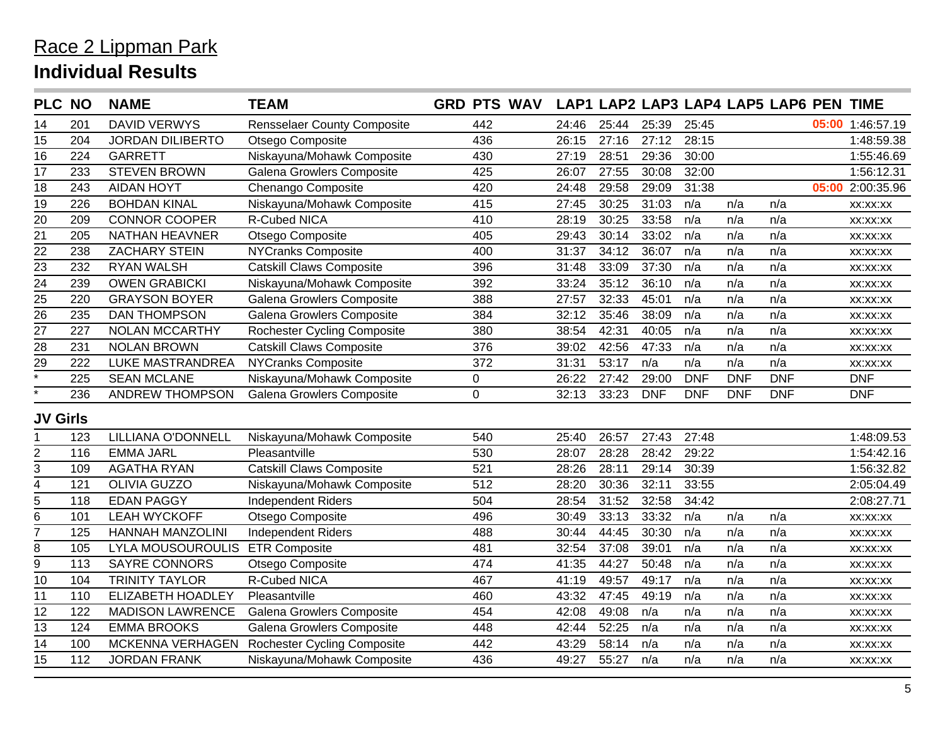#### Race 2 Lippman Park **Individual Results**

| <b>PLC NO</b>     |     | <b>NAME</b>              | <b>TEAM</b>                        | <b>GRD PTS WAV</b> |       |       |            |            |            | LAP1 LAP2 LAP3 LAP4 LAP5 LAP6 PEN TIME |       |                  |
|-------------------|-----|--------------------------|------------------------------------|--------------------|-------|-------|------------|------------|------------|----------------------------------------|-------|------------------|
| 14                | 201 | <b>DAVID VERWYS</b>      | <b>Rensselaer County Composite</b> | 442                | 24:46 | 25:44 | 25:39      | 25:45      |            |                                        |       | 05:00 1:46:57.19 |
| 15                | 204 | <b>JORDAN DILIBERTO</b>  | Otsego Composite                   | 436                | 26:15 | 27:16 | 27:12      | 28:15      |            |                                        |       | 1:48:59.38       |
| 16                | 224 | <b>GARRETT</b>           | Niskayuna/Mohawk Composite         | 430                | 27:19 | 28:51 | 29:36      | 30:00      |            |                                        |       | 1:55:46.69       |
| 17                | 233 | <b>STEVEN BROWN</b>      | Galena Growlers Composite          | 425                | 26:07 | 27:55 | 30:08      | 32:00      |            |                                        |       | 1:56:12.31       |
| 18                | 243 | <b>AIDAN HOYT</b>        | Chenango Composite                 | 420                | 24:48 | 29:58 | 29:09      | 31:38      |            |                                        | 05:00 | 2:00:35.96       |
| $\overline{19}$   | 226 | <b>BOHDAN KINAL</b>      | Niskayuna/Mohawk Composite         | 415                | 27:45 | 30:25 | 31:03      | n/a        | n/a        | n/a                                    |       | XX:XX:XX         |
| 20                | 209 | <b>CONNOR COOPER</b>     | <b>R-Cubed NICA</b>                | 410                | 28:19 | 30:25 | 33:58      | n/a        | n/a        | n/a                                    |       | XX:XX:XX         |
| $\overline{21}$   | 205 | NATHAN HEAVNER           | Otsego Composite                   | 405                | 29:43 | 30:14 | 33:02      | n/a        | n/a        | n/a                                    |       | XX:XX:XX         |
| $\overline{22}$   | 238 | <b>ZACHARY STEIN</b>     | <b>NYCranks Composite</b>          | 400                | 31:37 | 34:12 | 36:07      | n/a        | n/a        | n/a                                    |       | XX:XX:XX         |
| 23                | 232 | <b>RYAN WALSH</b>        | <b>Catskill Claws Composite</b>    | 396                | 31:48 | 33:09 | 37:30      | n/a        | n/a        | n/a                                    |       | XX:XX:XX         |
| $\overline{24}$   | 239 | <b>OWEN GRABICKI</b>     | Niskayuna/Mohawk Composite         | 392                | 33:24 | 35:12 | 36:10      | n/a        | n/a        | n/a                                    |       | XX:XX:XX         |
| $\overline{25}$   | 220 | <b>GRAYSON BOYER</b>     | Galena Growlers Composite          | 388                | 27:57 | 32:33 | 45:01      | n/a        | n/a        | n/a                                    |       | XX:XX:XX         |
| $\overline{26}$   | 235 | <b>DAN THOMPSON</b>      | Galena Growlers Composite          | 384                | 32:12 | 35:46 | 38:09      | n/a        | n/a        | n/a                                    |       | XX:XX:XX         |
| $\overline{27}$   | 227 | <b>NOLAN MCCARTHY</b>    | <b>Rochester Cycling Composite</b> | 380                | 38:54 | 42:31 | 40:05      | n/a        | n/a        | n/a                                    |       | XX:XX:XX         |
| $\overline{28}$   | 231 | <b>NOLAN BROWN</b>       | <b>Catskill Claws Composite</b>    | 376                | 39:02 | 42:56 | 47:33      | n/a        | n/a        | n/a                                    |       | XX:XX:XX         |
| 29                | 222 | LUKE MASTRANDREA         | <b>NYCranks Composite</b>          | 372                | 31:31 | 53:17 | n/a        | n/a        | n/a        | n/a                                    |       | XX:XX:XX         |
| $\overline{\ast}$ | 225 | <b>SEAN MCLANE</b>       | Niskayuna/Mohawk Composite         | 0                  | 26:22 | 27:42 | 29:00      | <b>DNF</b> | <b>DNF</b> | <b>DNF</b>                             |       | <b>DNF</b>       |
|                   | 236 | <b>ANDREW THOMPSON</b>   | Galena Growlers Composite          | $\mathbf 0$        | 32:13 | 33:23 | <b>DNF</b> | <b>DNF</b> | <b>DNF</b> | <b>DNF</b>                             |       | <b>DNF</b>       |
| <b>JV Girls</b>   |     |                          |                                    |                    |       |       |            |            |            |                                        |       |                  |
|                   | 123 | LILLIANA O'DONNELL       | Niskayuna/Mohawk Composite         | 540                | 25:40 | 26:57 | 27:43      | 27:48      |            |                                        |       | 1:48:09.53       |
| 2                 | 116 | <b>EMMA JARL</b>         | Pleasantville                      | 530                | 28:07 | 28:28 | 28:42      | 29:22      |            |                                        |       | 1:54:42.16       |
| 3                 | 109 | <b>AGATHA RYAN</b>       | <b>Catskill Claws Composite</b>    | 521                | 28:26 | 28:11 | 29:14      | 30:39      |            |                                        |       | 1:56:32.82       |
| 4                 | 121 | <b>OLIVIA GUZZO</b>      | Niskayuna/Mohawk Composite         | 512                | 28:20 | 30:36 | 32:11      | 33:55      |            |                                        |       | 2:05:04.49       |
| 5                 | 118 | <b>EDAN PAGGY</b>        | <b>Independent Riders</b>          | 504                | 28:54 | 31:52 | 32:58      | 34:42      |            |                                        |       | 2:08:27.71       |
| 6                 | 101 | <b>LEAH WYCKOFF</b>      | Otsego Composite                   | 496                | 30:49 | 33:13 | 33:32      | n/a        | n/a        | n/a                                    |       | XX:XX:XX         |
| $\overline{7}$    | 125 | <b>HANNAH MANZOLINI</b>  | <b>Independent Riders</b>          | 488                | 30:44 | 44:45 | 30:30      | n/a        | n/a        | n/a                                    |       | XX:XX:XX         |
| 8                 | 105 | <b>LYLA MOUSOUROULIS</b> | <b>ETR Composite</b>               | 481                | 32:54 | 37:08 | 39:01      | n/a        | n/a        | n/a                                    |       | XX:XX:XX         |
| 9                 | 113 | <b>SAYRE CONNORS</b>     | Otsego Composite                   | 474                | 41:35 | 44:27 | 50:48      | n/a        | n/a        | n/a                                    |       | XX:XX:XX         |
| 10                | 104 | <b>TRINITY TAYLOR</b>    | R-Cubed NICA                       | 467                | 41:19 | 49:57 | 49:17      | n/a        | n/a        | n/a                                    |       | XX:XX:XX         |
| 11                | 110 | <b>ELIZABETH HOADLEY</b> | Pleasantville                      | 460                | 43:32 | 47:45 | 49:19      | n/a        | n/a        | n/a                                    |       | XX:XX:XX         |
| $\overline{12}$   | 122 | <b>MADISON LAWRENCE</b>  | Galena Growlers Composite          | 454                | 42:08 | 49:08 | n/a        | n/a        | n/a        | n/a                                    |       | XX:XX:XX         |
| $\overline{13}$   | 124 | <b>EMMA BROOKS</b>       | Galena Growlers Composite          | 448                | 42:44 | 52:25 | n/a        | n/a        | n/a        | n/a                                    |       | XX:XX:XX         |
| 14                | 100 | MCKENNA VERHAGEN         | <b>Rochester Cycling Composite</b> | 442                | 43:29 | 58:14 | n/a        | n/a        | n/a        | n/a                                    |       | XX:XX:XX         |
| 15                | 112 | <b>JORDAN FRANK</b>      | Niskayuna/Mohawk Composite         | 436                | 49:27 | 55:27 | n/a        | n/a        | n/a        | n/a                                    |       | XX:XX:XX         |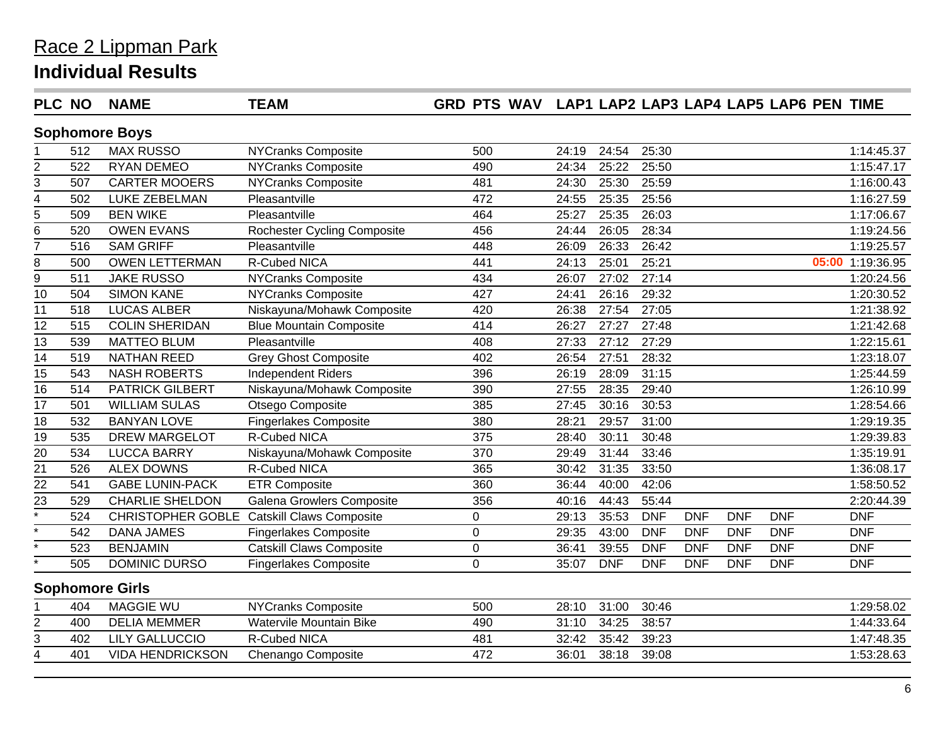| <b>PLC NO</b>      |     | <b>NAME</b>             | <b>TEAM</b>                                | GRD PTS WAV LAP1 LAP2 LAP3 LAP4 LAP5 LAP6 PEN TIME |       |            |            |            |            |            |                  |
|--------------------|-----|-------------------------|--------------------------------------------|----------------------------------------------------|-------|------------|------------|------------|------------|------------|------------------|
|                    |     | <b>Sophomore Boys</b>   |                                            |                                                    |       |            |            |            |            |            |                  |
|                    | 512 | <b>MAX RUSSO</b>        | NYCranks Composite                         | 500                                                | 24:19 | 24:54      | 25:30      |            |            |            | 1:14:45.37       |
| $\overline{2}$     | 522 | <b>RYAN DEMEO</b>       | <b>NYCranks Composite</b>                  | 490                                                | 24:34 | 25:22      | 25:50      |            |            |            | 1:15:47.17       |
| 3                  | 507 | <b>CARTER MOOERS</b>    | <b>NYCranks Composite</b>                  | 481                                                | 24:30 | 25:30      | 25:59      |            |            |            | 1:16:00.43       |
| 4                  | 502 | LUKE ZEBELMAN           | Pleasantville                              | 472                                                | 24:55 | 25:35      | 25:56      |            |            |            | 1:16:27.59       |
| 5                  | 509 | <b>BEN WIKE</b>         | Pleasantville                              | 464                                                | 25:27 | 25:35      | 26:03      |            |            |            | 1:17:06.67       |
| 6                  | 520 | <b>OWEN EVANS</b>       | <b>Rochester Cycling Composite</b>         | 456                                                | 24:44 | 26:05      | 28:34      |            |            |            | 1:19:24.56       |
| 7                  | 516 | <b>SAM GRIFF</b>        | Pleasantville                              | 448                                                | 26:09 | 26:33      | 26:42      |            |            |            | 1:19:25.57       |
| 8                  | 500 | <b>OWEN LETTERMAN</b>   | <b>R-Cubed NICA</b>                        | 441                                                | 24:13 | 25:01      | 25:21      |            |            |            | 05:00 1:19:36.95 |
| 9                  | 511 | <b>JAKE RUSSO</b>       | <b>NYCranks Composite</b>                  | 434                                                | 26:07 | 27:02      | 27:14      |            |            |            | 1:20:24.56       |
| 10                 | 504 | <b>SIMON KANE</b>       | <b>NYCranks Composite</b>                  | 427                                                | 24:41 | 26:16      | 29:32      |            |            |            | 1:20:30.52       |
| 11                 | 518 | <b>LUCAS ALBER</b>      | Niskayuna/Mohawk Composite                 | 420                                                | 26:38 | 27:54      | 27:05      |            |            |            | 1:21:38.92       |
| 12                 | 515 | <b>COLIN SHERIDAN</b>   | <b>Blue Mountain Composite</b>             | 414                                                | 26:27 | 27:27      | 27:48      |            |            |            | 1:21:42.68       |
| 13                 | 539 | <b>MATTEO BLUM</b>      | Pleasantville                              | 408                                                | 27:33 | 27:12      | 27:29      |            |            |            | 1:22:15.61       |
| $\overline{14}$    | 519 | <b>NATHAN REED</b>      | <b>Grey Ghost Composite</b>                | 402                                                | 26:54 | 27:51      | 28:32      |            |            |            | 1:23:18.07       |
| 15                 | 543 | <b>NASH ROBERTS</b>     | Independent Riders                         | 396                                                | 26:19 | 28:09      | 31:15      |            |            |            | 1:25:44.59       |
| $\overline{16}$    | 514 | PATRICK GILBERT         | Niskayuna/Mohawk Composite                 | 390                                                | 27:55 | 28:35      | 29:40      |            |            |            | 1:26:10.99       |
| 17                 | 501 | <b>WILLIAM SULAS</b>    | Otsego Composite                           | 385                                                | 27:45 | 30:16      | 30:53      |            |            |            | 1:28:54.66       |
| 18                 | 532 | <b>BANYAN LOVE</b>      | <b>Fingerlakes Composite</b>               | 380                                                | 28:21 | 29:57      | 31:00      |            |            |            | 1:29:19.35       |
| $\overline{19}$    | 535 | <b>DREW MARGELOT</b>    | R-Cubed NICA                               | 375                                                | 28:40 | 30:11      | 30:48      |            |            |            | 1:29:39.83       |
| 20                 | 534 | <b>LUCCA BARRY</b>      | Niskayuna/Mohawk Composite                 | 370                                                | 29:49 | 31:44      | 33:46      |            |            |            | 1:35:19.91       |
| $\overline{21}$    | 526 | <b>ALEX DOWNS</b>       | R-Cubed NICA                               | 365                                                | 30:42 | 31:35      | 33:50      |            |            |            | 1:36:08.17       |
| $\overline{22}$    | 541 | <b>GABE LUNIN-PACK</b>  | ETR Composite                              | 360                                                | 36:44 | 40:00      | 42:06      |            |            |            | 1:58:50.52       |
| $\overline{23}$    | 529 | <b>CHARLIE SHELDON</b>  | Galena Growlers Composite                  | 356                                                | 40:16 | 44:43      | 55:44      |            |            |            | 2:20:44.39       |
| $\overline{\cdot}$ | 524 |                         | CHRISTOPHER GOBLE Catskill Claws Composite | 0                                                  | 29:13 | 35:53      | <b>DNF</b> | <b>DNF</b> | <b>DNF</b> | <b>DNF</b> | <b>DNF</b>       |
| $\overline{\cdot}$ | 542 | <b>DANA JAMES</b>       | <b>Fingerlakes Composite</b>               | $\boldsymbol{0}$                                   | 29:35 | 43:00      | <b>DNF</b> | <b>DNF</b> | <b>DNF</b> | <b>DNF</b> | <b>DNF</b>       |
| $\star$            | 523 | <b>BENJAMIN</b>         | <b>Catskill Claws Composite</b>            | $\mathbf 0$                                        | 36:41 | 39:55      | <b>DNF</b> | <b>DNF</b> | <b>DNF</b> | <b>DNF</b> | <b>DNF</b>       |
| $\overline{\ast}$  | 505 | <b>DOMINIC DURSO</b>    | <b>Fingerlakes Composite</b>               | $\mathbf 0$                                        | 35:07 | <b>DNF</b> | <b>DNF</b> | <b>DNF</b> | <b>DNF</b> | <b>DNF</b> | <b>DNF</b>       |
|                    |     | <b>Sophomore Girls</b>  |                                            |                                                    |       |            |            |            |            |            |                  |
|                    | 404 | <b>MAGGIE WU</b>        | <b>NYCranks Composite</b>                  | 500                                                | 28:10 | 31:00      | 30:46      |            |            |            | 1:29:58.02       |
| 2                  | 400 | <b>DELIA MEMMER</b>     | <b>Watervile Mountain Bike</b>             | 490                                                | 31:10 | 34:25      | 38:57      |            |            |            | 1:44:33.64       |
| 3                  | 402 | <b>LILY GALLUCCIO</b>   | R-Cubed NICA                               | 481                                                | 32:42 | 35:42      | 39:23      |            |            |            | 1:47:48.35       |
| $\overline{4}$     | 401 | <b>VIDA HENDRICKSON</b> | Chenango Composite                         | 472                                                | 36:01 | 38:18      | 39:08      |            |            |            | 1:53:28.63       |